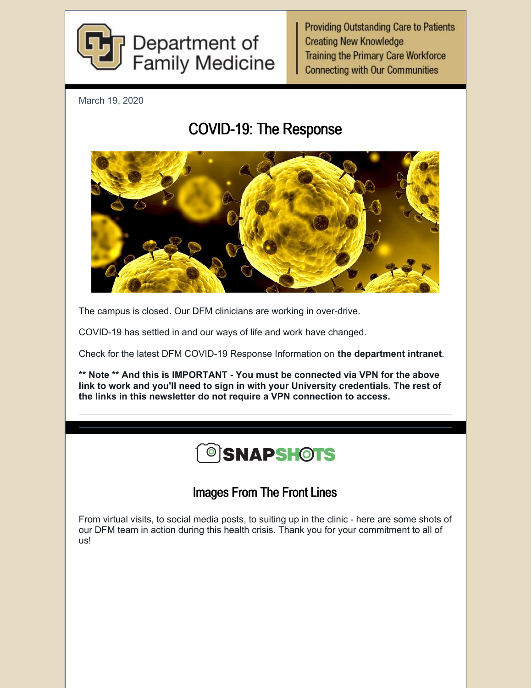

**Providing Outstanding Care to Patients Creating New Knowledge Training the Primary Care Workforce Connecting with Our Communities** 

March 19, 2020

## COVID-19: The Response



The campus is closed. Our DFM clinicians are working in over-drive.

COVID-19 has settled in and our ways of life and work have changed.

Check for the latest DFM COVID-19 Response Information on **the [department](https://mysom.ucdenver.edu/familymed/SitePages/Home.aspx) intranet**.

**\*\* Note \*\* And this is IMPORTANT - You must be connected via VPN for the above link to work and you'll need to sign in with your University credentials. The rest of the links in this newsletter do not require a VPN connection to access.**

# SNAPSHOTS

### Images From The Front Lines

From virtual visits, to social media posts, to suiting up in the clinic - here are some shots of our DFM team in action during this health crisis. Thank you for your commitment to all of us!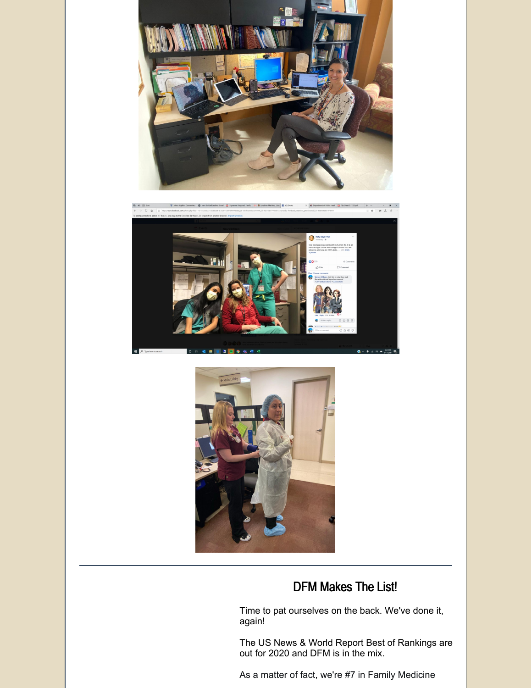





### DFM Makes The List!

Time to pat ourselves on the back. We've done it, again!

The US News & World Report Best of Rankings are out for 2020 and DFM is in the mix.

As a matter of fact, we're #7 in Family Medicine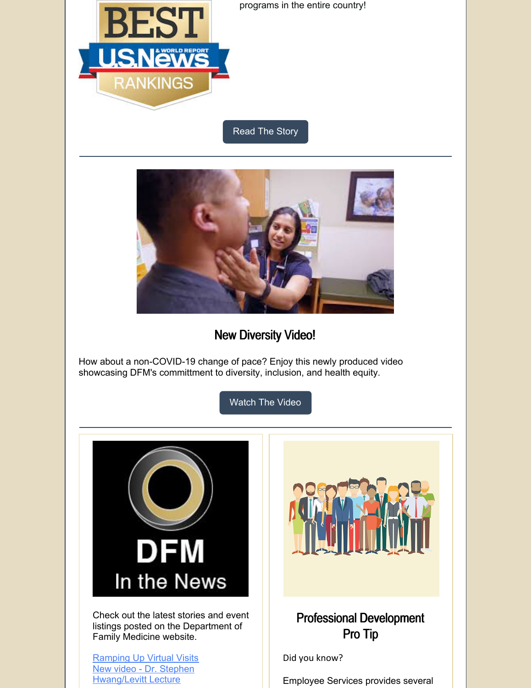

programs in the entire country!

[Read](https://medschool.cuanschutz.edu/deans-office/about-us/news-page/community-news/medical-news/cu-school-of-medicine-in-the-u.s.-news-and-world-report-rankings) The Story



### New Diversity Video!

How about a non-COVID-19 change of pace? Enjoy this newly produced video showcasing DFM's committment to diversity, inclusion, and health equity.

[Watch](https://medschool.cuanschutz.edu/family-medicine/diversity) The Video